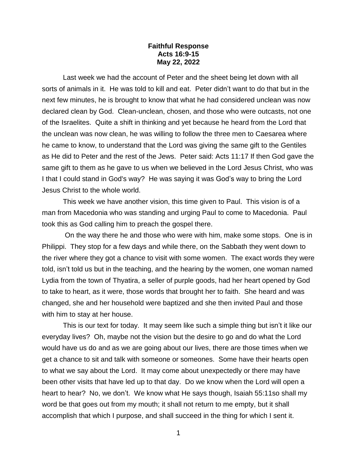## **Faithful Response Acts 16:9-15 May 22, 2022**

Last week we had the account of Peter and the sheet being let down with all sorts of animals in it. He was told to kill and eat. Peter didn't want to do that but in the next few minutes, he is brought to know that what he had considered unclean was now declared clean by God. Clean-unclean, chosen, and those who were outcasts, not one of the Israelites. Quite a shift in thinking and yet because he heard from the Lord that the unclean was now clean, he was willing to follow the three men to Caesarea where he came to know, to understand that the Lord was giving the same gift to the Gentiles as He did to Peter and the rest of the Jews. Peter said: Acts 11:17 If then God gave the same gift to them as he gave to us when we believed in the Lord Jesus Christ, who was I that I could stand in God's way? He was saying it was God's way to bring the Lord Jesus Christ to the whole world.

This week we have another vision, this time given to Paul. This vision is of a man from Macedonia who was standing and urging Paul to come to Macedonia. Paul took this as God calling him to preach the gospel there.

On the way there he and those who were with him, make some stops. One is in Philippi. They stop for a few days and while there, on the Sabbath they went down to the river where they got a chance to visit with some women. The exact words they were told, isn't told us but in the teaching, and the hearing by the women, one woman named Lydia from the town of Thyatira, a seller of purple goods, had her heart opened by God to take to heart, as it were, those words that brought her to faith. She heard and was changed, she and her household were baptized and she then invited Paul and those with him to stay at her house.

This is our text for today. It may seem like such a simple thing but isn't it like our everyday lives? Oh, maybe not the vision but the desire to go and do what the Lord would have us do and as we are going about our lives, there are those times when we get a chance to sit and talk with someone or someones. Some have their hearts open to what we say about the Lord. It may come about unexpectedly or there may have been other visits that have led up to that day. Do we know when the Lord will open a heart to hear? No, we don't. We know what He says though, Isaiah 55:11so shall my word be that goes out from my mouth; it shall not return to me empty, but it shall accomplish that which I purpose, and shall succeed in the thing for which I sent it.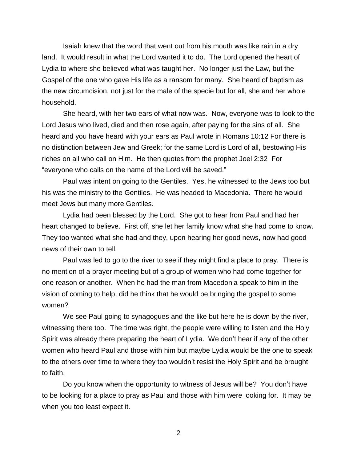Isaiah knew that the word that went out from his mouth was like rain in a dry land. It would result in what the Lord wanted it to do. The Lord opened the heart of Lydia to where she believed what was taught her. No longer just the Law, but the Gospel of the one who gave His life as a ransom for many. She heard of baptism as the new circumcision, not just for the male of the specie but for all, she and her whole household.

She heard, with her two ears of what now was. Now, everyone was to look to the Lord Jesus who lived, died and then rose again, after paying for the sins of all. She heard and you have heard with your ears as Paul wrote in Romans 10:12 For there is no distinction between Jew and Greek; for the same Lord is Lord of all, bestowing His riches on all who call on Him. He then quotes from the prophet Joel 2:32 For "everyone who calls on the name of the Lord will be saved."

Paul was intent on going to the Gentiles. Yes, he witnessed to the Jews too but his was the ministry to the Gentiles. He was headed to Macedonia. There he would meet Jews but many more Gentiles.

Lydia had been blessed by the Lord. She got to hear from Paul and had her heart changed to believe. First off, she let her family know what she had come to know. They too wanted what she had and they, upon hearing her good news, now had good news of their own to tell.

Paul was led to go to the river to see if they might find a place to pray. There is no mention of a prayer meeting but of a group of women who had come together for one reason or another. When he had the man from Macedonia speak to him in the vision of coming to help, did he think that he would be bringing the gospel to some women?

We see Paul going to synagogues and the like but here he is down by the river, witnessing there too. The time was right, the people were willing to listen and the Holy Spirit was already there preparing the heart of Lydia. We don't hear if any of the other women who heard Paul and those with him but maybe Lydia would be the one to speak to the others over time to where they too wouldn't resist the Holy Spirit and be brought to faith.

Do you know when the opportunity to witness of Jesus will be? You don't have to be looking for a place to pray as Paul and those with him were looking for. It may be when you too least expect it.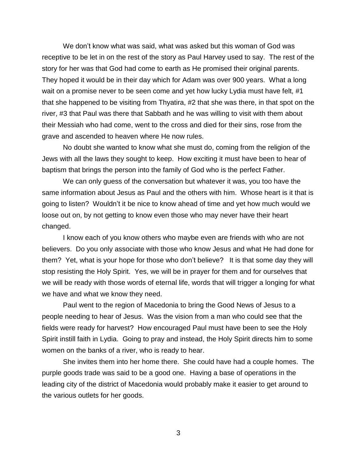We don't know what was said, what was asked but this woman of God was receptive to be let in on the rest of the story as Paul Harvey used to say. The rest of the story for her was that God had come to earth as He promised their original parents. They hoped it would be in their day which for Adam was over 900 years. What a long wait on a promise never to be seen come and yet how lucky Lydia must have felt, #1 that she happened to be visiting from Thyatira, #2 that she was there, in that spot on the river, #3 that Paul was there that Sabbath and he was willing to visit with them about their Messiah who had come, went to the cross and died for their sins, rose from the grave and ascended to heaven where He now rules.

No doubt she wanted to know what she must do, coming from the religion of the Jews with all the laws they sought to keep. How exciting it must have been to hear of baptism that brings the person into the family of God who is the perfect Father.

We can only guess of the conversation but whatever it was, you too have the same information about Jesus as Paul and the others with him. Whose heart is it that is going to listen? Wouldn't it be nice to know ahead of time and yet how much would we loose out on, by not getting to know even those who may never have their heart changed.

I know each of you know others who maybe even are friends with who are not believers. Do you only associate with those who know Jesus and what He had done for them? Yet, what is your hope for those who don't believe? It is that some day they will stop resisting the Holy Spirit. Yes, we will be in prayer for them and for ourselves that we will be ready with those words of eternal life, words that will trigger a longing for what we have and what we know they need.

Paul went to the region of Macedonia to bring the Good News of Jesus to a people needing to hear of Jesus. Was the vision from a man who could see that the fields were ready for harvest? How encouraged Paul must have been to see the Holy Spirit instill faith in Lydia. Going to pray and instead, the Holy Spirit directs him to some women on the banks of a river, who is ready to hear.

She invites them into her home there. She could have had a couple homes. The purple goods trade was said to be a good one. Having a base of operations in the leading city of the district of Macedonia would probably make it easier to get around to the various outlets for her goods.